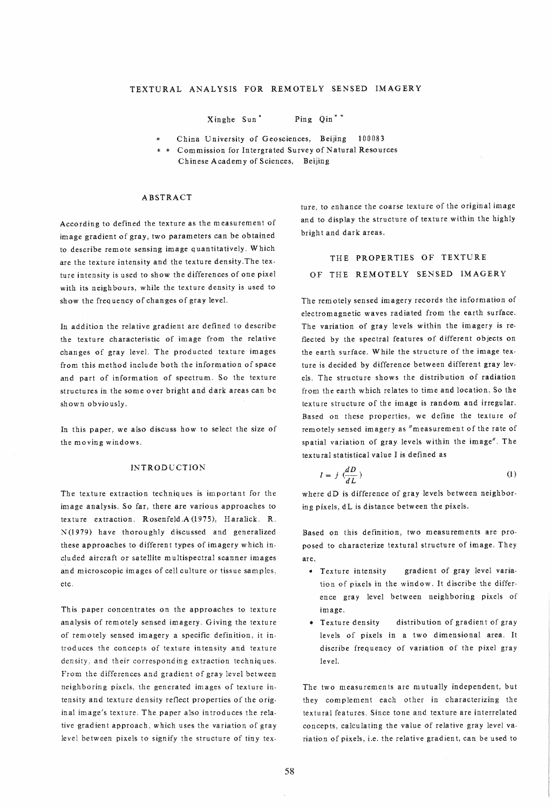Xinghe Sun '" Ping Qin" '"

China University of Geosciences, Beijing 100083

\* \* Commission for Intergrated Survey of Natural Resources

Chinese Academy of Sciences, Beijing

### ABSTRACT

According to defined the texture as the measurement of image gradient of gray, two parameters can be obtained to describe remote sensing image quantitatively, Which are the texture intensity and the texture density,The tex· ture intensity is used to show the differences of one pixel with its neighbours, while the texture density is used to show the frequency of changes of gray level.

In addition the relative gradient are defined to describe the texture characteristic of image from the relative changes of gray level. The producted texture images from this method include both the information of space and part of information of spectrum. So the texture structures in the some over bright and dark areas can be shown obviously.

In this paper, we also discuss how to select the size of the moving windows.

### INTRODUCTION

The texture extraction techniq ues is important for the image analysis. So far, there are various approaches to texture extraction, Rosenfeld,A(1975), Haralick. R,  $N(1979)$  have thoroughly discussed and generalized these approaches to different types of imagery which included aircraft or satellite multispectral scanner images and microscopic images of cell culture or tissue samples, etc,

This paper concentrates on the approaches to texture analysis of remotely sensed imagery, Giving the texture of remotely sensed imagery a specific definition, it introduces the concepts of texture intensity and texture density, and their corresponding extraction techniques. From the differences and gradient of gray level between neighboring pixels, the generated images of texture intensity and texture density reflect properties of the original image's texture. The paper also in troduces the relative gradient approach, which uses the variation of gray level between pixels to signify the structure of tiny texture, to enhance the coarse texture of the original image and to display the structure of texture within the highly bright and dark areas.

# THE PROPERTIES OF TEXTURE OF THE REMOTELY SENSED IMAGERY

The remotely sensed imagery records the information of electromagnetic waves radiated from the earth surface. The variation of gray levels within the imagery is reflected by the spectral features of different objects on the earth surface. While the structure of the image texture is decided by difference between different gray levels, The structure shows the distribution of radiation from the earth which relates to time and location. So the texture structure of the image is random and irregular. Based on these properties, we define the texture of remotely sensed imagery as "measurement of the rate of spatial variation of gray levels within the image", The textural statistical value I is defined as

$$
I = j \left( \frac{dD}{dL} \right) \tag{1}
$$

where dD is difference of gray levels between neighboring pixels, dL is distance between the pixels.

Based on this definition, two measurements are proposed to characterize textural structure of image. They are,

- e Texture intensity gradient of gray level variation of pixels in the window. It discribe the differ· ence gray level between neighboring pixels of image.
- Texture density distribution of gradient of gray levels of pixels in a two dimensional area. It discribe frequency of variation of the pixel gray leveL

The two measurements are mutually independent, but they complement each other in characterizing the textural features. Since tone and texture are interrelated concepts, calculating the value of relative gray level variation of pixels, i.e. the relative gradient, can be used to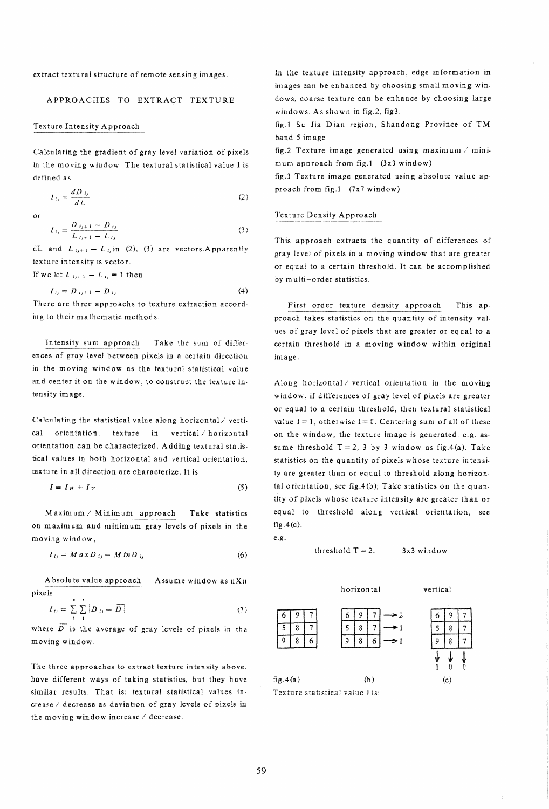extract textural structure of remote sensing images.

## APPROACHES TO EXTRACT TEXTURE

#### Texture Intensity Approach

Calculating the gradient of gray level variation of pixels in the moving window. The textural statistical value I is defined as

$$
I_{t_i} = \frac{dD_{t_i}}{dL} \tag{2}
$$

or

$$
I_{t_i} = \frac{D_{t_i+1} - D_{t_i}}{L_{t_i+1} - L_{t_i}}
$$
\n(3)

dL and  $L_{i,j+1} - L_{j,i}$  in (2), (3) are vectors. Apparently texture intensity is vector.

If we let  $L_{i,j+1} - L_{i,j} = 1$  then

$$
I_{ij} = D_{ij+1} - D_{ij} \tag{4}
$$

There are three approachs to texture extraction according to their mathematic methods.

In tensity sum approach Take the sum of differences of gray level between pixels in a certain direction in the moving window as the textural statistical value and center it on the window, to construct the texture intensity image.

Calculating the statistical value along horizontal/ vertical orientation, texture in vertical horizontal orientation can be characterized. Adding textural statistical values in both horizontal and vertical orientation, texture in all direction are characterize. It is

$$
I = I_H + I_V \tag{5}
$$

 $M$ axim um /  $M$ inim um approach Take statistics on maximum and minimum gray levels of pixels in the moving window,

$$
I_{ij} = M a x D_{ij} - M in D_{ij} \tag{6}
$$

A bsolu te value approach Assume window as nXn pixels

$$
I_{t_i} = \sum_{i=1}^{n} \sum_{j=1}^{n} |D_{t_j} - \overline{D}| \tag{7}
$$

where  $\overline{D}$  is the average of gray levels of pixels in the moving window.

The three approaches to extract texture in tensity above, have different ways of taking statistics, but they have similar results. That is: textural statistical values increase / decrease as deviation of gray levels of pixels in the moving window increase / decrease.

In the texture intensity approach, edge information in images can be en hanced by choosing small moving windows, coarse texture can be enhance by choosing large windows. As shown in fig.2, fig3.

fig.1 Su Jia Dian region, Shandong Province of TM band 5 image

fig.2 Texture image generated using maximum  $/$  minimum approach from fig.1 (3x3 window)

fig.3 Texture image generated using absolute value approach from fig.1 (7x7 window)

## Texture Density Approach

This approach extracts the quantity of differences of gray level of pixels in a moving window that are greater or equal to a certain threshold. It can be accomplished by multi-order statistics.

First order texture density approach This approach takes statistics on the quantity of intensity values of gray level of pixels that are greater or equal to a certain threshold in a moving window within original image.

Along horizontal/vertical orientation in the moving window, if differences of gray level of pixels are greater or eq uaI to a certain threshold, then textural statistical value  $I = 1$ , otherwise  $I = 0$ . Centering sum of all of these on the window, the texture image is generated. e.g. assume threshold  $T = 2$ , 3 by 3 window as fig.4(a). Take statistics on the quantity of pixels whose texture intensity are greater than or equal to threshold along horizontal orientation, see fig.4(b); Take statistics on the quantity of pixels whose texture intensity are greater than or equal to threshold along vertical orientation, see  $fig.4(c).$ 

e.g.

### threshold  $T = 2$ ,  $3x3$  window



 $6 | 9 | 7 | 6 | 9 | 7 | \rightarrow 2$   $6 | 9 | 7$  $5 | 8 | 7 |$   $5 | 8 | 7 |$   $\rightarrow$  1  $5 | 8 | 7$  $9 \mid 8 \mid 6$   $\mid$   $9 \mid 8 \mid 6$   $\rightarrow$  1  $\mid$   $9 \mid 8 \mid 7$ 

 $\frac{1}{2}$   $\frac{1}{2}$   $\frac{1}{2}$ 

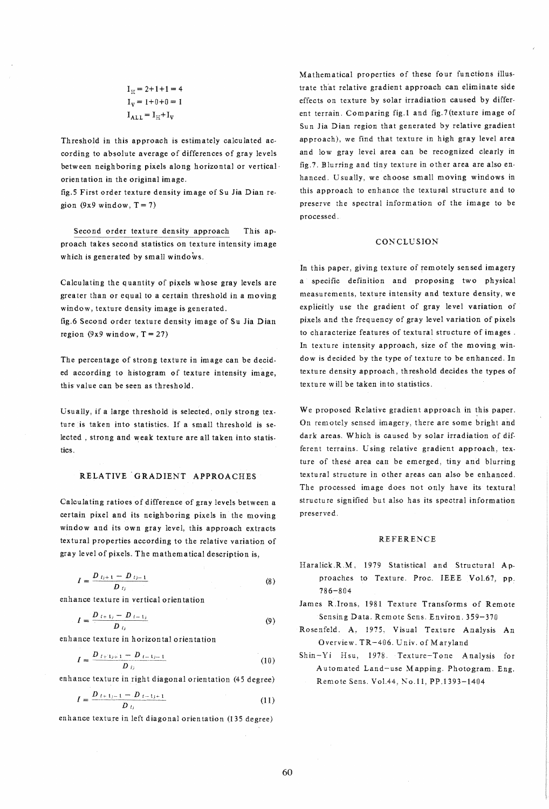$I_H = 2+1+1=4$  $I_v = 1+0+0 = 1$  $I_{\text{ALL}} = I_{\text{H}} + I_{\text{V}}$ 

Threshold in this approach is estimately calculated according to absolute average of differences of gray levels between neighboring pixels along horizontal or vertical· orien ta tion in the original image.

fig.S First order texture density image of Su Jia Dian region  $(9x9 \text{ window}, T = 7)$ 

Second order texture density approach This approach takes second statistics on texture intensity image which is generated by small windows.

Calculating the quantity of pixels whose gray levels are greater than or equal to a certain threshold in a moving window, texture density image is generated.

fig.6 Second order texture density image of Su lia Dian region  $(9x9 \text{ window}, T = 27)$ 

The percentage of strong texture in image can be decided according to histogram of texture intensity image, this value can be seen as threshold.

Usually, if a large threshold is selected, only strong texture is taken into statistics. If a small threshold is selected , strong and weak texture are all taken into statistics.

## RELATIVE GRADIENT APPROACHES

Calculating ratioes of difference of gray levels between a certain pixel and its neigh boring pixels in the moving window and its own gray level, this approach extracts textural properties according to the relative variation of gray level of pixels. The mathematical description is,

$$
I = \frac{D_{t_{j+1}} - D_{t_{j-1}}}{D_{t_j}}
$$
 (8)

enhance texture in vertical orientation

$$
I = \frac{D_{i+1,i} - D_{i-1,i}}{D_{i,j}} \tag{9}
$$

enhance texture in horizontal orientation

$$
I = \frac{D_{i+1,j+1} - D_{i-1,j-1}}{D_{i,j}}
$$
 (10)

enhance texture in right diagonal orientation (45 degree)

$$
I = \frac{D_{t+1,-1} - D_{t-1,+1}}{D_{t_1}}
$$
\n(11)

enhance texture in left diagonal orientation (135 degree)

Mathematical properties of these four functions illustrate that relative gradient approach can eliminate side effects on texture by solar irradiation caused by different terrain. Comparing fig.1 and fig.7(texture image of Sun Jia Dian region that generated by relative gradient approach), we find that texture in high gray level area and low gray level area can be recognized clearly in fig.7. Blurring and tiny texture in other area are also en· hanced. Usually, we choose small moving windows in this approach to enhance the textupal structure and to preserve the spectral information of the image to be processed\_

#### **CONCLUSION**

In this paper, giving texture of remotely sensed imagery a specific definition and proposing two physical measurements, texture intensity and texture density, we explicitly use the gradient of gray level variation of pixels and the frequency of gray level variation of pixels to characterize features of textural structure of images. In texture intensity approach, size of the moving window is decided by the type of texture to be enhanced. In texture density approach, threshold decides the types of texture will be taken into statistics.

We proposed Relative gradient approach in this paper. On remotely sensed imagery, there are some bright and dark areas. Which is caused by solar irradiation of different terrains. Using relative gradient approach, texture of these area can be emerged, tiny and blurring textural structure in other areas can also be enhanced. The processed image does not only have its textural structu re signified but also has its spectral information preserved.

#### REFERENCE

- Haralick R.M, 1979 Statistical and Structural Approaches to Texture. Proc. IEEE VoL67, pp. 786-804
- James R.lrons, 1981 Texture Transforms of Remote Sensing Data. Remote Sens. Environ. 359-370
- Rosenfeld. A, 1975, Visual Texture Analysis An Overview. TR-406. Univ. of Maryland
- Shin-Yi Hsu, 1978. Texture-Tone Analysis for Automated Land-use Mapping. Photogram. Eng. Remote Sens. VoL44, No.11, PP.1393-1404